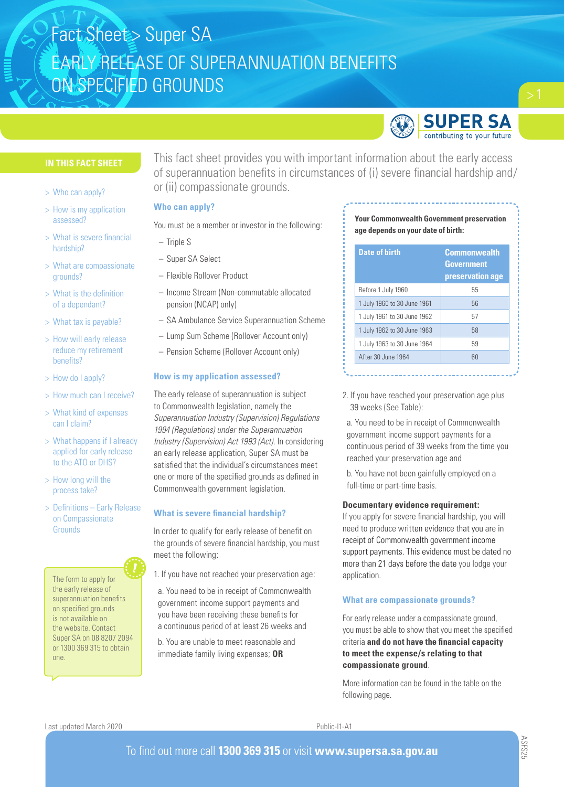

# **IN THIS FACT SHEET**

- > Who can apply?
- > How is my application assessed?
- > What is severe financial hardship?
- > What are compassionate grounds?
- > What is the definition of a dependant?
- > What tax is payable?
- > How will early release reduce my retirement benefits?
- > How do I apply?
- > How much can I receive?
- > What kind of expenses can I claim?
- > What happens if I already applied for early release to the ATO or DHS?
- > How long will the process take?
- > Definitions Early Release on Compassionate **Grounds**

The form to apply for the early release of superannuation benefits on specified grounds is not available on the website. Contact Super SA on 08 8207 2094 or 1300 369 315 to obtain one.

This fact sheet provides you with important information about the early access of superannuation benefits in circumstances of (i) severe financial hardship and/ or (ii) compassionate grounds.

# **Who can apply?**

You must be a member or investor in the following:

- Triple S
- Super SA Select
- Flexible Rollover Product
- Income Stream (Non-commutable allocated pension (NCAP) only)
- SA Ambulance Service Superannuation Scheme
- Lump Sum Scheme (Rollover Account only)
- Pension Scheme (Rollover Account only)

# **How is my application assessed?**

The early release of superannuation is subject to Commonwealth legislation, namely the *Superannuation Industry (Supervision) Regulations 1994 (Regulations) under the Superannuation Industry (Supervision) Act 1993 (Act)*. In considering an early release application, Super SA must be satisfied that the individual's circumstances meet one or more of the specified grounds as defined in Commonwealth government legislation.

# **What is severe financial hardship?**

In order to qualify for early release of benefit on the grounds of severe financial hardship, you must meet the following:

- 1. If you have not reached your preservation age:
- a. You need to be in receipt of Commonwealth government income support payments and you have been receiving these benefits for a continuous period of at least 26 weeks and
- b. You are unable to meet reasonable and immediate family living expenses; **OR**

# **Your Commonwealth Government preservation age depends on your date of birth:**

| <b>Date of birth</b>        | <b>Commonwealth</b><br><b>Government</b><br>preservation age |
|-----------------------------|--------------------------------------------------------------|
| Before 1 July 1960          | 55                                                           |
| 1 July 1960 to 30 June 1961 | 56                                                           |
| 1 July 1961 to 30 June 1962 | 57                                                           |
| 1 July 1962 to 30 June 1963 | 58                                                           |
| 1 July 1963 to 30 June 1964 | 59                                                           |
| After 30 June 1964          | 60                                                           |

2. If you have reached your preservation age plus 39 weeks (See Table):

a. You need to be in receipt of Commonwealth government income support payments for a continuous period of 39 weeks from the time you reached your preservation age and

b. You have not been gainfully employed on a full-time or part-time basis.

## **Documentary evidence requirement:**

If you apply for severe financial hardship, you will need to produce written evidence that you are in receipt of Commonwealth government income support payments. This evidence must be dated no more than 21 days before the date you lodge your application.

# **What are compassionate grounds?**

For early release under a compassionate ground, you must be able to show that you meet the specified criteria **and do not have the financial capacity to meet the expense/s relating to that compassionate ground**.

More information can be found in the table on the following page.

Last updated March 2020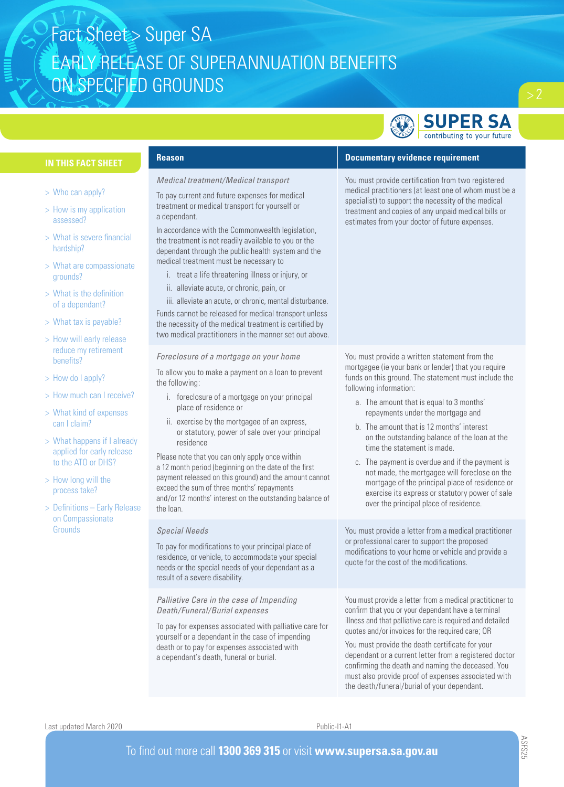

# **IN THIS FACT SHEET**

- > Who can apply?
- > How is my application assessed?
- > What is severe financial hardship?
- > What are compassionate grounds?
- > What is the definition of a dependant?
- > What tax is payable?
- > How will early release reduce my retirement benefits?
- > How do I apply?
- > How much can I receive?
- > What kind of expenses can I claim?
- > What happens if I already applied for early release to the ATO or DHS?
- > How long will the process take?
- > Definitions Early Release on Compassionate **Grounds**

## *Medical treatment/Medical transport*

To pay current and future expenses for medical treatment or medical transport for yourself or a dependant.

In accordance with the Commonwealth legislation, the treatment is not readily available to you or the dependant through the public health system and the medical treatment must be necessary to

- i. treat a life threatening illness or injury, or
- ii. alleviate acute, or chronic, pain, or

iii. alleviate an acute, or chronic, mental disturbance. Funds cannot be released for medical transport unless the necessity of the medical treatment is certified by two medical practitioners in the manner set out above.

#### *Foreclosure of a mortgage on your home*

To allow you to make a payment on a loan to prevent the following:

- i. foreclosure of a mortgage on your principal place of residence or
- ii. exercise by the mortgagee of an express, or statutory, power of sale over your principal residence

Please note that you can only apply once within a 12 month period (beginning on the date of the first payment released on this ground) and the amount cannot exceed the sum of three months' repayments and/or 12 months' interest on the outstanding balance of the loan.

## *Special Needs*

To pay for modifications to your principal place of residence, or vehicle, to accommodate your special needs or the special needs of your dependant as a result of a severe disability.

*Palliative Care in the case of Impending Death/Funeral/Burial expenses*

To pay for expenses associated with palliative care for yourself or a dependant in the case of impending death or to pay for expenses associated with a dependant's death, funeral or burial.

# **Reason Documentary evidence requirement**

You must provide certification from two registered medical practitioners (at least one of whom must be a specialist) to support the necessity of the medical treatment and copies of any unpaid medical bills or estimates from your doctor of future expenses.

You must provide a written statement from the mortgagee (ie your bank or lender) that you require funds on this ground. The statement must include the following information:

- a. The amount that is equal to 3 months' repayments under the mortgage and
- b. The amount that is 12 months' interest on the outstanding balance of the loan at the time the statement is made.
- c. The payment is overdue and if the payment is not made, the mortgagee will foreclose on the mortgage of the principal place of residence or exercise its express or statutory power of sale over the principal place of residence.

You must provide a letter from a medical practitioner or professional carer to support the proposed modifications to your home or vehicle and provide a quote for the cost of the modifications.

You must provide a letter from a medical practitioner to confirm that you or your dependant have a terminal illness and that palliative care is required and detailed quotes and/or invoices for the required care; OR

You must provide the death certificate for your dependant or a current letter from a registered doctor confirming the death and naming the deceased. You must also provide proof of expenses associated with the death/funeral/burial of your dependant.

Last updated March 2020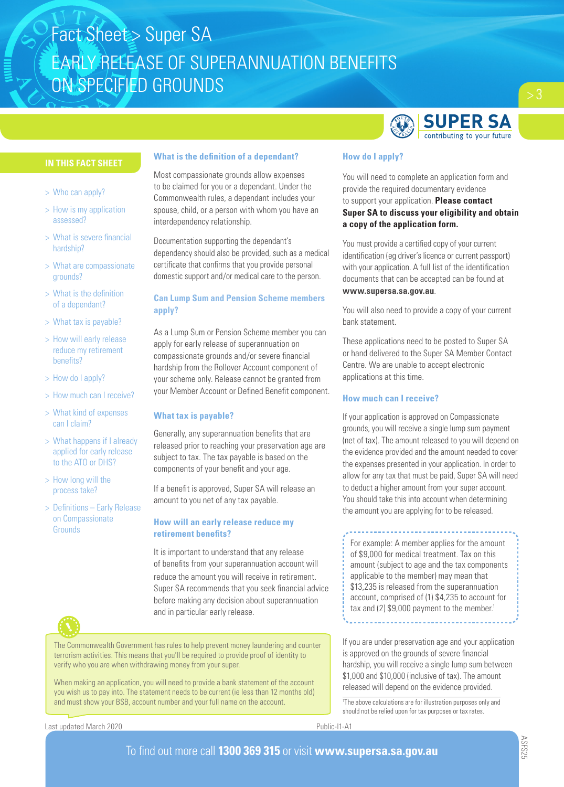

# **IN THIS FACT SHEET**

- > Who can apply?
- > How is my application assessed?
- > What is severe financial hardship?
- > What are compassionate grounds?
- > What is the definition of a dependant?
- > What tax is payable?
- > How will early release reduce my retirement benefits?
- > How do I apply?
- > How much can I receive?
- > What kind of expenses can I claim?
- > What happens if I already applied for early release to the ATO or DHS?
- > How long will the process take?
- > Definitions Early Release on Compassionate **Grounds**

# **What is the definition of a dependant?**

Most compassionate grounds allow expenses to be claimed for you or a dependant. Under the Commonwealth rules, a dependant includes your spouse, child, or a person with whom you have an interdependency relationship.

Documentation supporting the dependant's dependency should also be provided, such as a medical certificate that confirms that you provide personal domestic support and/or medical care to the person.

# **Can Lump Sum and Pension Scheme members apply?**

As a Lump Sum or Pension Scheme member you can apply for early release of superannuation on compassionate grounds and/or severe financial hardship from the Rollover Account component of your scheme only. Release cannot be granted from your Member Account or Defined Benefit component.

# **What tax is payable?**

Generally, any superannuation benefits that are released prior to reaching your preservation age are subject to tax. The tax payable is based on the components of your benefit and your age.

If a benefit is approved, Super SA will release an amount to you net of any tax payable.

# **How will an early release reduce my retirement benefits?**

It is important to understand that any release of benefits from your superannuation account will reduce the amount you will receive in retirement. Super SA recommends that you seek financial advice before making any decision about superannuation and in particular early release.



The Commonwealth Government has rules to help prevent money laundering and counter terrorism activities. This means that you'll be required to provide proof of identity to verify who you are when withdrawing money from your super.

When making an application, you will need to provide a bank statement of the account you wish us to pay into. The statement needs to be current (ie less than 12 months old) and must show your BSB, account number and your full name on the account.

Last updated March 2020

# Public-I1-A1

# **How do I apply?**

You will need to complete an application form and provide the required documentary evidence to support your application. **Please contact Super SA to discuss your eligibility and obtain a copy of the application form.** 

You must provide a certified copy of your current identification (eg driver's licence or current passport) with your application. A full list of the identification documents that can be accepted can be found at

# **www.supersa.sa.gov.au**.

You will also need to provide a copy of your current bank statement.

These applications need to be posted to Super SA or hand delivered to the Super SA Member Contact Centre. We are unable to accept electronic applications at this time.

# **How much can I receive?**

If your application is approved on Compassionate grounds, you will receive a single lump sum payment (net of tax). The amount released to you will depend on the evidence provided and the amount needed to cover the expenses presented in your application. In order to allow for any tax that must be paid, Super SA will need to deduct a higher amount from your super account. You should take this into account when determining the amount you are applying for to be released.

For example: A member applies for the amount of \$9,000 for medical treatment. Tax on this amount (subject to age and the tax components applicable to the member) may mean that \$13,235 is released from the superannuation account, comprised of (1) \$4,235 to account for tax and (2) \$9,000 payment to the member.<sup>1</sup>

If you are under preservation age and your application is approved on the grounds of severe financial hardship, you will receive a single lump sum between \$1,000 and \$10,000 (inclusive of tax). The amount released will depend on the evidence provided.

The above calculations are for illustration purposes only and should not be relied upon for tax purposes or tax rates.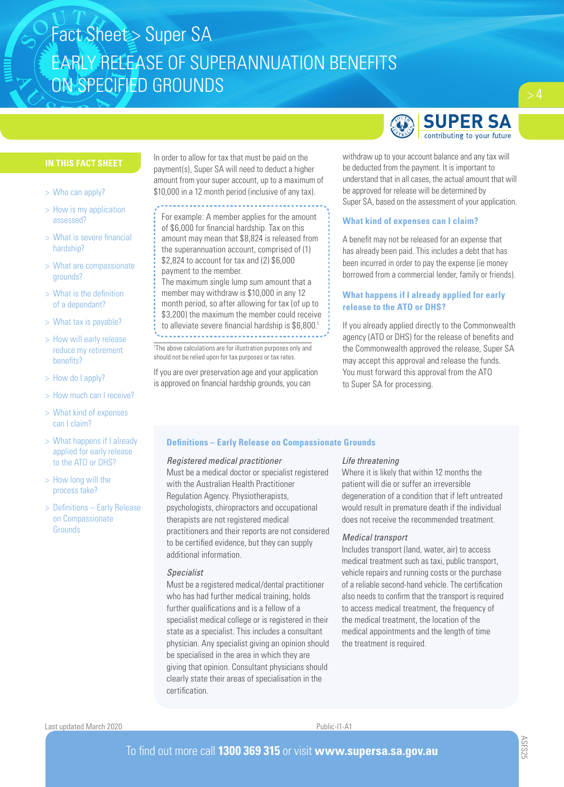# **SUPER SA** contributing to your future

# **IN THIS FACT SHEET**

- > Who can apply?
- > How is my application assessed?
- > What is severe financial hardship?
- > What are compassionate grounds?
- > What is the definition of a dependant?
- > What tax is payable?
- > How will early release reduce my retirement benefits?
- > How do I apply?
- > How much can I receive?
- > What kind of expenses can I claim?
- > What happens if I already applied for early release to the ATO or DHS?
- > How long will the process take?
- > Definitions Early Release on Compassionate **Grounds**

In order to allow for tax that must be paid on the payment(s), Super SA will need to deduct a higher amount from your super account, up to a maximum of \$10,000 in a 12 month period (inclusive of any tax).

For example: A member applies for the amount of \$6,000 for financial hardship. Tax on this amount may mean that \$8,824 is released from the superannuation account, comprised of (1) \$2,824 to account for tax and (2) \$6,000 payment to the member.

The maximum single lump sum amount that a member may withdraw is \$10,000 in any 12 month period, so after allowing for tax (of up to \$3,200) the maximum the member could receive to alleviate severe financial hardship is \$6,800.<sup>1</sup>

1 The above calculations are for illustration purposes only and should not be relied upon for tax purposes or tax rates.

If you are over preservation age and your application is approved on financial hardship grounds, you can

# withdraw up to your account balance and any tax will be deducted from the payment. It is important to understand that in all cases, the actual amount that will be approved for release will be determined by Super SA, based on the assessment of your application.

# **What kind of expenses can I claim?**

A benefit may not be released for an expense that has already been paid. This includes a debt that has been incurred in order to pay the expense (ie money borrowed from a commercial lender, family or friends).

# **What happens if I already applied for early release to the ATO or DHS?**

If you already applied directly to the Commonwealth agency (ATO or DHS) for the release of benefits and the Commonwealth approved the release, Super SA may accept this approval and release the funds. You must forward this approval from the ATO to Super SA for processing.

# **Definitions – Early Release on Compassionate Grounds**

#### *Registered medical practitioner*

Must be a medical doctor or specialist registered with the Australian Health Practitioner Regulation Agency. Physiotherapists, psychologists, chiropractors and occupational therapists are not registered medical practitioners and their reports are not considered to be certified evidence, but they can supply additional information.

# *Specialist*

Must be a registered medical/dental practitioner who has had further medical training, holds further qualifications and is a fellow of a specialist medical college or is registered in their state as a specialist. This includes a consultant physician. Any specialist giving an opinion should be specialised in the area in which they are giving that opinion. Consultant physicians should clearly state their areas of specialisation in the certification.

## *Life threatening*

Where it is likely that within 12 months the patient will die or suffer an irreversible degeneration of a condition that if left untreated would result in premature death if the individual does not receive the recommended treatment.

## *Medical transport*

Includes transport (land, water, air) to access medical treatment such as taxi, public transport, vehicle repairs and running costs or the purchase of a reliable second-hand vehicle. The certification also needs to confirm that the transport is required to access medical treatment, the frequency of the medical treatment, the location of the medical appointments and the length of time the treatment is required.